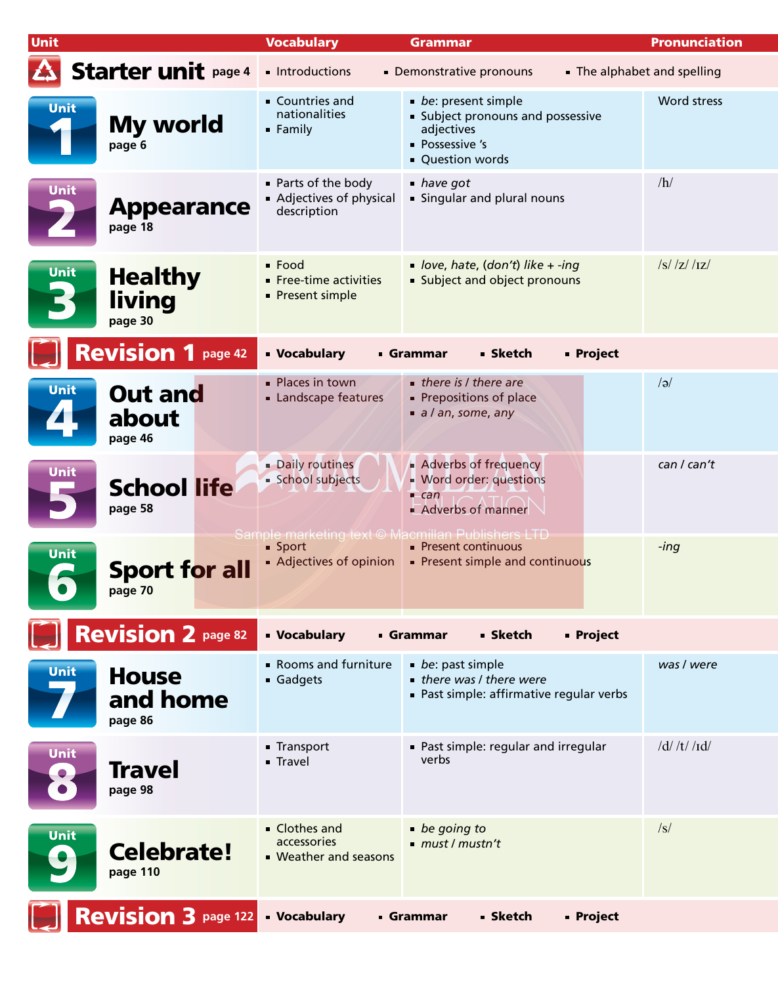| <b>Unit</b>                                                                                            | <b>Vocabulary</b>                                                                                 | <b>Grammar</b>                                                                                               | Pronunciation         |  |  |
|--------------------------------------------------------------------------------------------------------|---------------------------------------------------------------------------------------------------|--------------------------------------------------------------------------------------------------------------|-----------------------|--|--|
| <b>Starter unit page 4</b><br>• Introductions<br>• Demonstrative pronouns<br>The alphabet and spelling |                                                                                                   |                                                                                                              |                       |  |  |
| Unit<br><b>My world</b><br>page 6                                                                      | ■ Countries and<br>nationalities<br>• Family                                                      | • be: present simple<br>Subject pronouns and possessive<br>adjectives<br>• Possessive 's<br>• Question words | Word stress           |  |  |
| <b>Unit</b><br><b>Appearance</b><br>page 18                                                            | Parts of the body<br>Adjectives of physical<br>description                                        | have got<br>Singular and plural nouns                                                                        | /h/                   |  |  |
| <u>Unit</u><br><b>Healthy</b><br>living<br>page 30                                                     | $\blacksquare$ Food<br>Free-time activities<br>• Present simple                                   | love, hate, (don't) like + -ing<br>Subject and object pronouns                                               | $\frac{ S }{ Z }$ /IZ |  |  |
| <b>Revision 1 page 42</b>                                                                              | <b>Ucabulary</b>                                                                                  | <b>Sketch</b><br><b>Project</b><br>■ Grammar                                                                 |                       |  |  |
| Unit<br><b>Out and</b><br>about<br>page 46                                                             | • Places in town<br>Landscape features                                                            | there is / there are<br>Prepositions of place<br>$\blacksquare$ a / an, some, any                            | a                     |  |  |
| Unit<br><b>School life</b><br>page 58                                                                  | Daily routines<br>School subjects                                                                 | Adverbs of frequency<br>• Word order: questions<br>$rac{a}{2}$<br>Adverbs of manner                          | can / can't           |  |  |
| Unit<br><b>Sport for all</b><br>page 70                                                                | Sample marketing text © Macmillan Publishers LTD<br>$\blacksquare$ Sport<br>Adjectives of opinion | • Present continuous<br>Present simple and continuous                                                        | $-$ ing               |  |  |
| <b>Revision 2 page 82</b>                                                                              | <b>Vocabulary</b>                                                                                 | <b>Sketch</b><br><b>Project</b><br>■ Grammar                                                                 |                       |  |  |
| Unit<br><b>House</b><br>and home<br>page 86                                                            | • Rooms and furniture<br>Gadgets                                                                  | be: past simple<br>there was / there were<br>Past simple: affirmative regular verbs                          | was / were            |  |  |
| Unit<br><b>Travel</b><br>page 98                                                                       | ■ Transport<br>■ Travel                                                                           | Past simple: regular and irregular<br>verbs                                                                  | $/d/ \frac{t}{d}$     |  |  |
| Unit<br><b>Celebrate!</b><br>page 110                                                                  | Clothes and<br>accessories<br>• Weather and seasons                                               | • be going to<br>must/mustn't                                                                                | /s/                   |  |  |
| <b>Revision 3 page 122</b>                                                                             | <b>Vocabulary</b>                                                                                 | <b>Sketch</b><br><b>Project</b><br>■ Grammar                                                                 |                       |  |  |